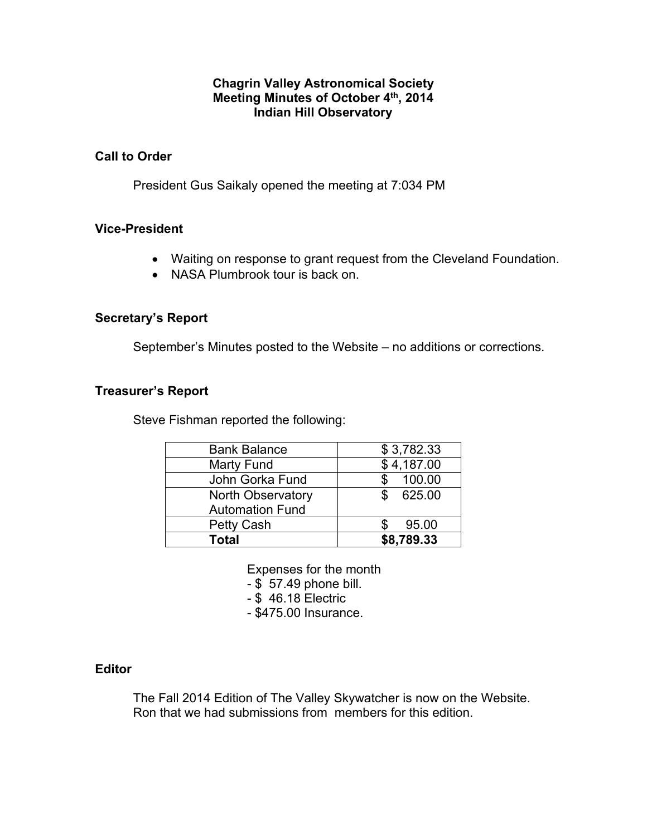#### **Chagrin Valley Astronomical Society Meeting Minutes of October 4th, 2014 Indian Hill Observatory**

## **Call to Order**

President Gus Saikaly opened the meeting at 7:034 PM

## **Vice-President**

- Waiting on response to grant request from the Cleveland Foundation.
- NASA Plumbrook tour is back on.

## **Secretary's Report**

September's Minutes posted to the Website – no additions or corrections.

## **Treasurer's Report**

Steve Fishman reported the following:

| <b>Bank Balance</b>      | \$3,782.33    |
|--------------------------|---------------|
| Marty Fund               | \$4,187.00    |
| John Gorka Fund          | 100.00        |
| <b>North Observatory</b> | 625.00<br>\$. |
| <b>Automation Fund</b>   |               |
| Petty Cash               | 95.00         |
| Total                    | \$8,789.33    |

Expenses for the month

- \$ 57.49 phone bill.

- \$ 46.18 Electric

- \$475.00 Insurance.

# **Editor**

The Fall 2014 Edition of The Valley Skywatcher is now on the Website. Ron that we had submissions from members for this edition.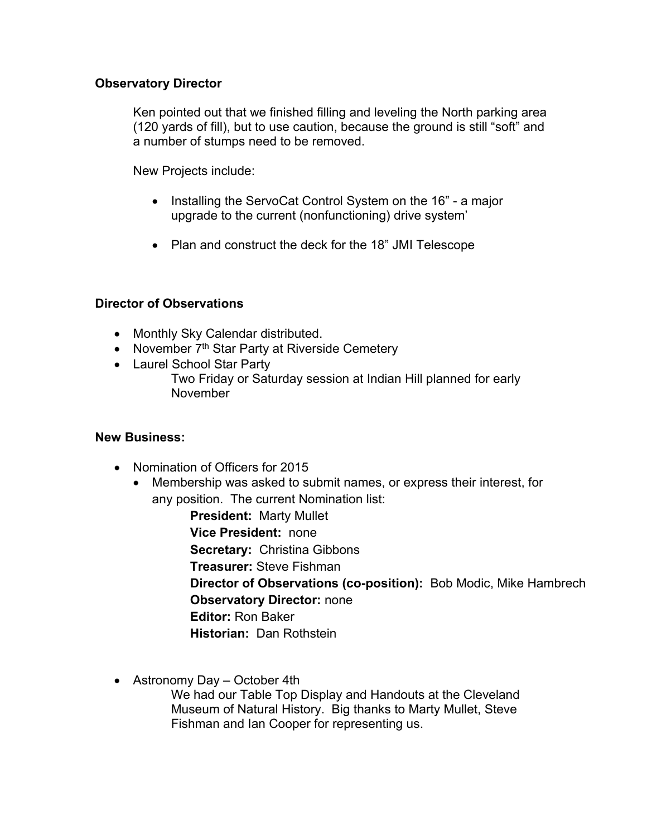## **Observatory Director**

Ken pointed out that we finished filling and leveling the North parking area (120 yards of fill), but to use caution, because the ground is still "soft" and a number of stumps need to be removed.

New Projects include:

- Installing the ServoCat Control System on the 16" a major upgrade to the current (nonfunctioning) drive system'
- Plan and construct the deck for the 18" JMI Telescope

# **Director of Observations**

- Monthly Sky Calendar distributed.
- November 7<sup>th</sup> Star Party at Riverside Cemetery
- Laurel School Star Party
	- Two Friday or Saturday session at Indian Hill planned for early November

# **New Business:**

- Nomination of Officers for 2015
	- Membership was asked to submit names, or express their interest, for any position. The current Nomination list:

**President:** Marty Mullet **Vice President:** none **Secretary:** Christina Gibbons **Treasurer:** Steve Fishman **Director of Observations (co-position):** Bob Modic, Mike Hambrech **Observatory Director:** none **Editor:** Ron Baker **Historian:** Dan Rothstein

• Astronomy Day – October 4th

We had our Table Top Display and Handouts at the Cleveland Museum of Natural History. Big thanks to Marty Mullet, Steve Fishman and Ian Cooper for representing us.